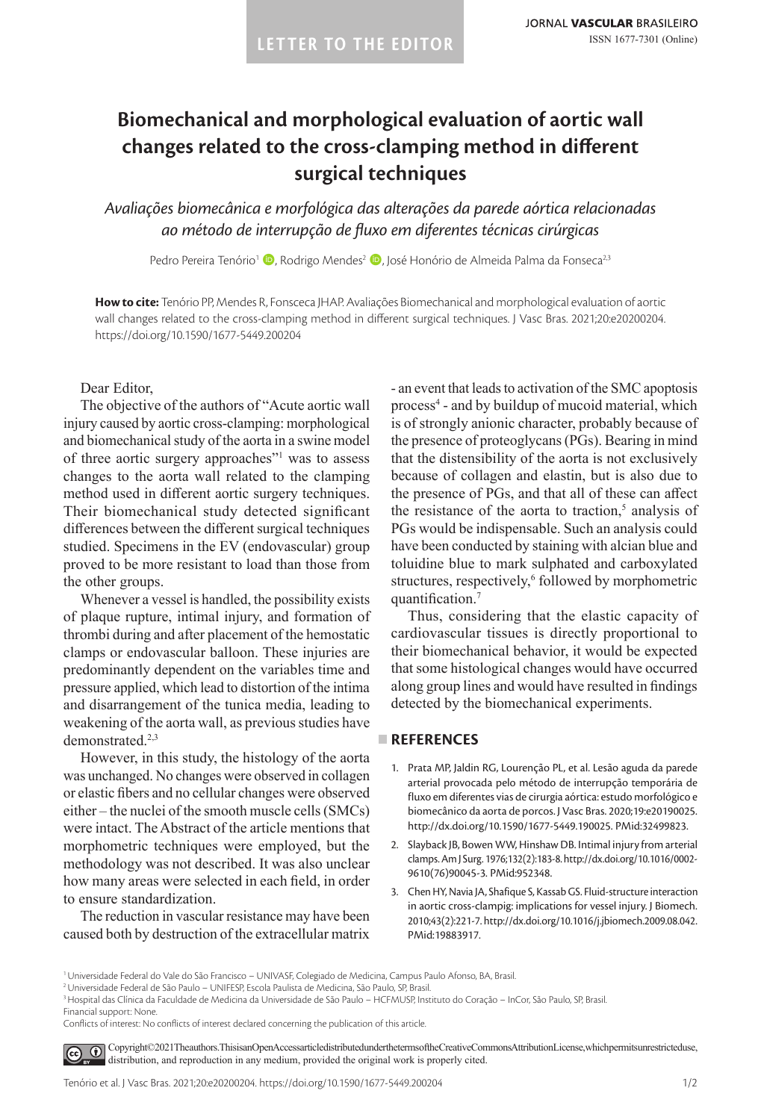# **Biomechanical and morphological evaluation of aortic wall changes related to the cross-clamping method in different surgical techniques**

*Avaliações biomecânica e morfológica das alterações da parede aórtica relacionadas ao método de interrupção de fluxo em diferentes técnicas cirúrgicas*

Pedro Pereira Tenório<sup>1</sup> (D. Rodrigo Mendes<sup>2</sup> (D. José Honório de Almeida Palma da Fonseca<sup>23</sup>

**How to cite:** Tenório PP, Mendes R, Fonsceca JHAP. Avaliações Biomechanical and morphological evaluation of aortic wall changes related to the cross-clamping method in different surgical techniques. J Vasc Bras. 2021;20:e20200204. <https://doi.org/10.1590/1677-5449.200204>

Dear Editor,

The objective of the authors of "Acute aortic wall injury caused by aortic cross-clamping: morphological and biomechanical study of the aorta in a swine model of three aortic surgery approaches"<sup>1</sup> was to assess changes to the aorta wall related to the clamping method used in different aortic surgery techniques. Their biomechanical study detected significant differences between the different surgical techniques studied. Specimens in the EV (endovascular) group proved to be more resistant to load than those from the other groups.

Whenever a vessel is handled, the possibility exists of plaque rupture, intimal injury, and formation of thrombi during and after placement of the hemostatic clamps or endovascular balloon. These injuries are predominantly dependent on the variables time and pressure applied, which lead to distortion of the intima and disarrangement of the tunica media, leading to weakening of the aorta wall, as previous studies have demonstrated.<sup>2,3</sup>

However, in this study, the histology of the aorta was unchanged. No changes were observed in collagen or elastic fibers and no cellular changes were observed either – the nuclei of the smooth muscle cells (SMCs) were intact. The Abstract of the article mentions that morphometric techniques were employed, but the methodology was not described. It was also unclear how many areas were selected in each field, in order to ensure standardization.

The reduction in vascular resistance may have been caused both by destruction of the extracellular matrix

- an event that leads to activation of the SMC apoptosis process4 - and by buildup of mucoid material, which is of strongly anionic character, probably because of the presence of proteoglycans (PGs). Bearing in mind that the distensibility of the aorta is not exclusively because of collagen and elastin, but is also due to the presence of PGs, and that all of these can affect the resistance of the aorta to traction, $5$  analysis of PGs would be indispensable. Such an analysis could have been conducted by staining with alcian blue and toluidine blue to mark sulphated and carboxylated structures, respectively,<sup>6</sup> followed by morphometric quantification.<sup>7</sup>

Thus, considering that the elastic capacity of cardiovascular tissues is directly proportional to their biomechanical behavior, it would be expected that some histological changes would have occurred along group lines and would have resulted in findings detected by the biomechanical experiments.

# **REFERENCES**

- 1. Prata MP, Jaldin RG, Lourenção PL, et al. Lesão aguda da parede arterial provocada pelo método de interrupção temporária de fluxo em diferentes vias de cirurgia aórtica: estudo morfológico e biomecânico da aorta de porcos. J Vasc Bras. 2020;19:e20190025. [http://dx.doi.org/10.1590/1677-5449.190025.](https://doi.org/10.1590/1677-5449.190025) [PMid:32499823.](https://www.ncbi.nlm.nih.gov/entrez/query.fcgi?cmd=Retrieve&db=PubMed&list_uids=32499823&dopt=Abstract)
- 2. Slayback JB, Bowen WW, Hinshaw DB. Intimal injury from arterial clamps. Am J Surg. 1976;132(2):183-8. [http://dx.doi.org/10.1016/0002-](https://doi.org/10.1016/0002-9610(76)90045-3) [9610\(76\)90045-3.](https://doi.org/10.1016/0002-9610(76)90045-3) [PMid:952348.](https://www.ncbi.nlm.nih.gov/entrez/query.fcgi?cmd=Retrieve&db=PubMed&list_uids=952348&dopt=Abstract)
- 3. Chen HY, Navia JA, Shafique S, Kassab GS. Fluid-structure interaction in aortic cross-clampig: implications for vessel injury. J Biomech. 2010;43(2):221-7. [http://dx.doi.org/10.1016/j.jbiomech.2009.08.042](https://doi.org/10.1016/j.jbiomech.2009.08.042). [PMid:19883917.](https://www.ncbi.nlm.nih.gov/entrez/query.fcgi?cmd=Retrieve&db=PubMed&list_uids=19883917&dopt=Abstract)

<sup>&</sup>lt;sup>1</sup> Universidade Federal do Vale do São Francisco - UNIVASF, Colegiado de Medicina, Campus Paulo Afonso, BA, Brasil

<sup>&</sup>lt;sup>2</sup> Universidade Federal de São Paulo – UNIFESP, Escola Paulista de Medicina, São Paulo, SP, Brasil.

<sup>3</sup>Hospital das Clínica da Faculdade de Medicina da Universidade de São Paulo – HCFMUSP, Instituto do Coração – InCor, São Paulo, SP, Brasil.

Financial support: None.

Conflicts of interest: No conflicts of interest declared concerning the publication of this article.

[C](https://creativecommons.org/licenses/by/4.0/)opyright©2021The authors. This is an Open Access article distributed under the terms of the Creative Commons Attribution License, which permits unrestricted use,  $\left($ distribution, and reproduction in any medium, provided the original work is properly cited.